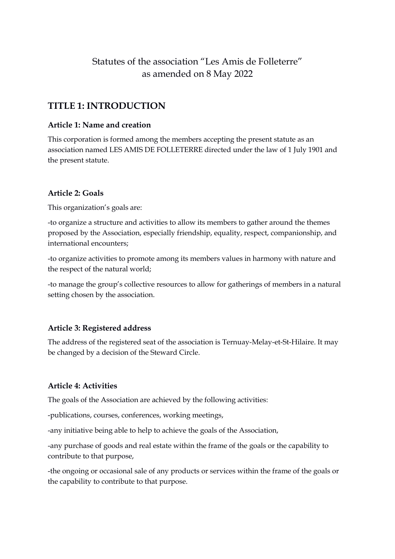# Statutes of the association "Les Amis de Folleterre" as amended on 8 May 2022

## **TITLE 1: INTRODUCTION**

#### **Article 1: Name and creation**

This corporation is formed among the members accepting the present statute as an association named LES AMIS DE FOLLETERRE directed under the law of 1 July 1901 and the present statute.

## **Article 2: Goals**

This organization's goals are:

-to organize a structure and activities to allow its members to gather around the themes proposed by the Association, especially friendship, equality, respect, companionship, and international encounters;

-to organize activities to promote among its members values in harmony with nature and the respect of the natural world;

-to manage the group's collective resources to allow for gatherings of members in a natural setting chosen by the association.

## **Article 3: Registered address**

The address of the registered seat of the association is Ternuay-Melay-et-St-Hilaire. It may be changed by a decision of the Steward Circle.

## **Article 4: Activities**

The goals of the Association are achieved by the following activities:

-publications, courses, conferences, working meetings,

-any initiative being able to help to achieve the goals of the Association,

-any purchase of goods and real estate within the frame of the goals or the capability to contribute to that purpose,

-the ongoing or occasional sale of any products or services within the frame of the goals or the capability to contribute to that purpose.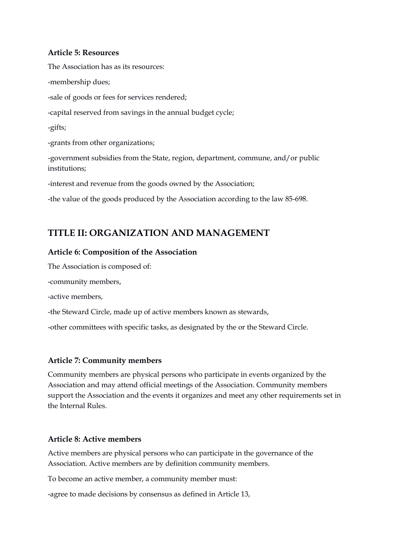#### **Article 5: Resources**

The Association has as its resources: -membership dues; -sale of goods or fees for services rendered; -capital reserved from savings in the annual budget cycle; -gifts; -grants from other organizations; -government subsidies from the State, region, department, commune, and/or public institutions; -interest and revenue from the goods owned by the Association;

-the value of the goods produced by the Association according to the law 85-698.

## **TITLE II: ORGANIZATION AND MANAGEMENT**

#### **Article 6: Composition of the Association**

The Association is composed of:

-community members,

-active members,

-the Steward Circle, made up of active members known as stewards,

-other committees with specific tasks, as designated by the or the Steward Circle.

#### **Article 7: Community members**

Community members are physical persons who participate in events organized by the Association and may attend official meetings of the Association. Community members support the Association and the events it organizes and meet any other requirements set in the Internal Rules.

#### **Article 8: Active members**

Active members are physical persons who can participate in the governance of the Association. Active members are by definition community members.

To become an active member, a community member must:

-agree to made decisions by consensus as defined in Article 13,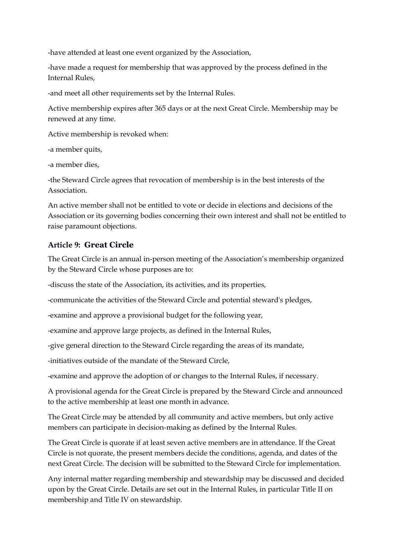-have attended at least one event organized by the Association,

-have made a request for membership that was approved by the process defined in the Internal Rules,

-and meet all other requirements set by the Internal Rules.

Active membership expires after 365 days or at the next Great Circle. Membership may be renewed at any time.

Active membership is revoked when:

-a member quits,

-a member dies,

-the Steward Circle agrees that revocation of membership is in the best interests of the Association.

An active member shall not be entitled to vote or decide in elections and decisions of the Association or its governing bodies concerning their own interest and shall not be entitled to raise paramount objections.

## **Article 9: Great Circle**

The Great Circle is an annual in-person meeting of the Association's membership organized by the Steward Circle whose purposes are to:

-discuss the state of the Association, its activities, and its properties,

-communicate the activities of the Steward Circle and potential steward's pledges,

-examine and approve a provisional budget for the following year,

-examine and approve large projects, as defined in the Internal Rules,

-give general direction to the Steward Circle regarding the areas of its mandate,

-initiatives outside of the mandate of the Steward Circle,

-examine and approve the adoption of or changes to the Internal Rules, if necessary.

A provisional agenda for the Great Circle is prepared by the Steward Circle and announced to the active membership at least one month in advance.

The Great Circle may be attended by all community and active members, but only active members can participate in decision-making as defined by the Internal Rules.

The Great Circle is quorate if at least seven active members are in attendance. If the Great Circle is not quorate, the present members decide the conditions, agenda, and dates of the next Great Circle. The decision will be submitted to the Steward Circle for implementation.

Any internal matter regarding membership and stewardship may be discussed and decided upon by the Great Circle. Details are set out in the Internal Rules, in particular Title II on membership and Title IV on stewardship.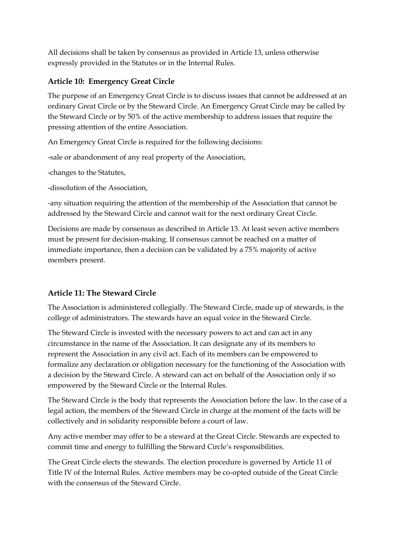All decisions shall be taken by consensus as provided in Article 13, unless otherwise expressly provided in the Statutes or in the Internal Rules.

## **Article 10: Emergency Great Circle**

The purpose of an Emergency Great Circle is to discuss issues that cannot be addressed at an ordinary Great Circle or by the Steward Circle. An Emergency Great Circle may be called by the Steward Circle or by 50% of the active membership to address issues that require the pressing attention of the entire Association.

An Emergency Great Circle is required for the following decisions:

-sale or abandonment of any real property of the Association,

-changes to the Statutes,

-dissolution of the Association,

-any situation requiring the attention of the membership of the Association that cannot be addressed by the Steward Circle and cannot wait for the next ordinary Great Circle.

Decisions are made by consensus as described in Article 13. At least seven active members must be present for decision-making. If consensus cannot be reached on a matter of immediate importance, then a decision can be validated by a 75% majority of active members present.

## **Article 11: The Steward Circle**

The Association is administered collegially. The Steward Circle, made up of stewards, is the college of administrators. The stewards have an equal voice in the Steward Circle.

The Steward Circle is invested with the necessary powers to act and can act in any circumstance in the name of the Association. It can designate any of its members to represent the Association in any civil act. Each of its members can be empowered to formalize any declaration or obligation necessary for the functioning of the Association with a decision by the Steward Circle. A steward can act on behalf of the Association only if so empowered by the Steward Circle or the Internal Rules.

The Steward Circle is the body that represents the Association before the law. In the case of a legal action, the members of the Steward Circle in charge at the moment of the facts will be collectively and in solidarity responsible before a court of law.

Any active member may offer to be a steward at the Great Circle. Stewards are expected to commit time and energy to fulfilling the Steward Circle's responsibilities.

The Great Circle elects the stewards. The election procedure is governed by Article 11 of Title IV of the Internal Rules. Active members may be co-opted outside of the Great Circle with the consensus of the Steward Circle.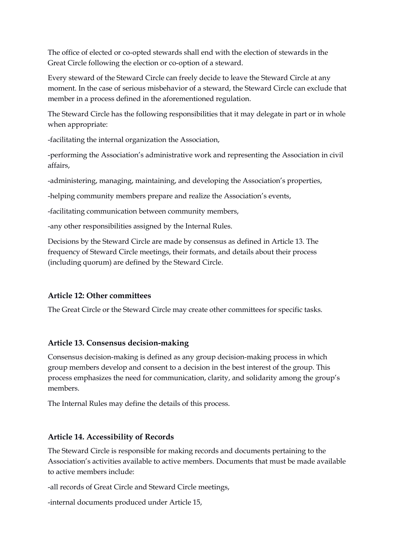The office of elected or co-opted stewards shall end with the election of stewards in the Great Circle following the election or co-option of a steward.

Every steward of the Steward Circle can freely decide to leave the Steward Circle at any moment. In the case of serious misbehavior of a steward, the Steward Circle can exclude that member in a process defined in the aforementioned regulation.

The Steward Circle has the following responsibilities that it may delegate in part or in whole when appropriate:

-facilitating the internal organization the Association,

-performing the Association's administrative work and representing the Association in civil affairs,

-administering, managing, maintaining, and developing the Association's properties,

-helping community members prepare and realize the Association's events,

-facilitating communication between community members,

-any other responsibilities assigned by the Internal Rules.

Decisions by the Steward Circle are made by consensus as defined in Article 13. The frequency of Steward Circle meetings, their formats, and details about their process (including quorum) are defined by the Steward Circle.

#### **Article 12: Other committees**

The Great Circle or the Steward Circle may create other committees for specific tasks.

#### **Article 13. Consensus decision-making**

Consensus decision-making is defined as any group decision-making process in which group members develop and consent to a decision in the best interest of the group. This process emphasizes the need for communication, clarity, and solidarity among the group's members.

The Internal Rules may define the details of this process.

#### **Article 14. Accessibility of Records**

The Steward Circle is responsible for making records and documents pertaining to the Association's activities available to active members. Documents that must be made available to active members include:

-all records of Great Circle and Steward Circle meetings,

-internal documents produced under Article 15,